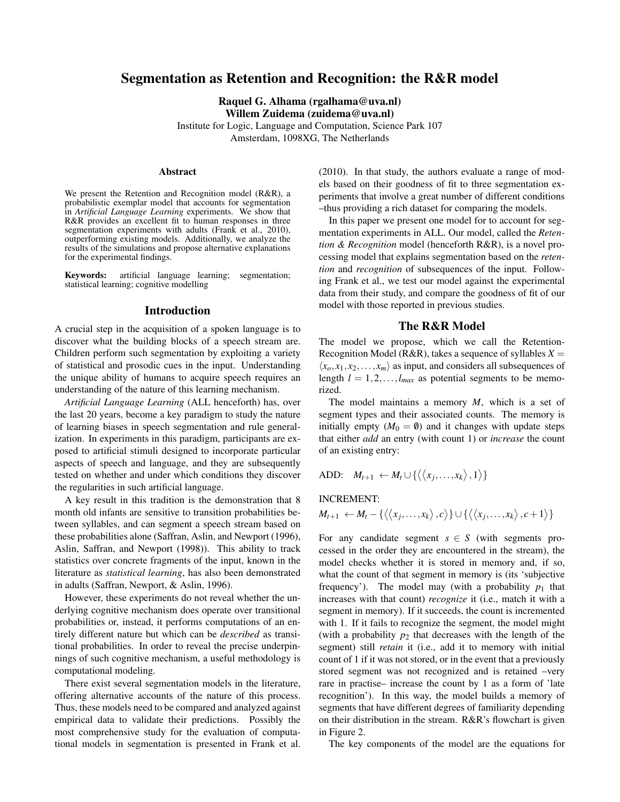# Segmentation as Retention and Recognition: the R&R model

Raquel G. Alhama (rgalhama@uva.nl) Willem Zuidema (zuidema@uva.nl)

Institute for Logic, Language and Computation, Science Park 107 Amsterdam, 1098XG, The Netherlands

#### Abstract

We present the Retention and Recognition model (R&R), a probabilistic exemplar model that accounts for segmentation in *Artificial Language Learning* experiments. We show that R&R provides an excellent fit to human responses in three segmentation experiments with adults (Frank et al., 2010), outperforming existing models. Additionally, we analyze the results of the simulations and propose alternative explanations for the experimental findings.

Keywords: artificial language learning; segmentation; statistical learning; cognitive modelling

#### Introduction

A crucial step in the acquisition of a spoken language is to discover what the building blocks of a speech stream are. Children perform such segmentation by exploiting a variety of statistical and prosodic cues in the input. Understanding the unique ability of humans to acquire speech requires an understanding of the nature of this learning mechanism.

*Artificial Language Learning* (ALL henceforth) has, over the last 20 years, become a key paradigm to study the nature of learning biases in speech segmentation and rule generalization. In experiments in this paradigm, participants are exposed to artificial stimuli designed to incorporate particular aspects of speech and language, and they are subsequently tested on whether and under which conditions they discover the regularities in such artificial language.

A key result in this tradition is the demonstration that 8 month old infants are sensitive to transition probabilities between syllables, and can segment a speech stream based on these probabilities alone (Saffran, Aslin, and Newport (1996), Aslin, Saffran, and Newport (1998)). This ability to track statistics over concrete fragments of the input, known in the literature as *statistical learning*, has also been demonstrated in adults (Saffran, Newport, & Aslin, 1996).

However, these experiments do not reveal whether the underlying cognitive mechanism does operate over transitional probabilities or, instead, it performs computations of an entirely different nature but which can be *described* as transitional probabilities. In order to reveal the precise underpinnings of such cognitive mechanism, a useful methodology is computational modeling.

There exist several segmentation models in the literature, offering alternative accounts of the nature of this process. Thus, these models need to be compared and analyzed against empirical data to validate their predictions. Possibly the most comprehensive study for the evaluation of computational models in segmentation is presented in Frank et al. (2010). In that study, the authors evaluate a range of models based on their goodness of fit to three segmentation experiments that involve a great number of different conditions –thus providing a rich dataset for comparing the models.

In this paper we present one model for to account for segmentation experiments in ALL. Our model, called the *Retention & Recognition* model (henceforth R&R), is a novel processing model that explains segmentation based on the *retention* and *recognition* of subsequences of the input. Following Frank et al., we test our model against the experimental data from their study, and compare the goodness of fit of our model with those reported in previous studies.

### The R&R Model

The model we propose, which we call the Retention-Recognition Model (R&R), takes a sequence of syllables  $X =$  $\langle x_o, x_1, x_2, \ldots, x_m \rangle$  as input, and considers all subsequences of length  $l = 1, 2, \ldots, l_{max}$  as potential segments to be memorized.

The model maintains a memory *M*, which is a set of segment types and their associated counts. The memory is initially empty  $(M_0 = \emptyset)$  and it changes with update steps that either *add* an entry (with count 1) or *increase* the count of an existing entry:

ADD:  $M_{t+1} \leftarrow M_t \cup \{\langle\langle x_j,\ldots,x_k\rangle,1\rangle\}$ 

#### INCREMENT:

$$
M_{t+1} \leftarrow M_t - \{\langle\langle x_j,\ldots,x_k\rangle,c\rangle\} \cup \{\langle\langle x_j,\ldots,x_k\rangle,c+1\rangle\}
$$

For any candidate segment  $s \in S$  (with segments processed in the order they are encountered in the stream), the model checks whether it is stored in memory and, if so, what the count of that segment in memory is (its 'subjective frequency'). The model may (with a probability  $p_1$  that increases with that count) *recognize* it (i.e., match it with a segment in memory). If it succeeds, the count is incremented with 1. If it fails to recognize the segment, the model might (with a probability  $p_2$  that decreases with the length of the segment) still *retain* it (i.e., add it to memory with initial count of 1 if it was not stored, or in the event that a previously stored segment was not recognized and is retained –very rare in practise– increase the count by 1 as a form of 'late recognition'). In this way, the model builds a memory of segments that have different degrees of familiarity depending on their distribution in the stream. R&R's flowchart is given in Figure 2.

The key components of the model are the equations for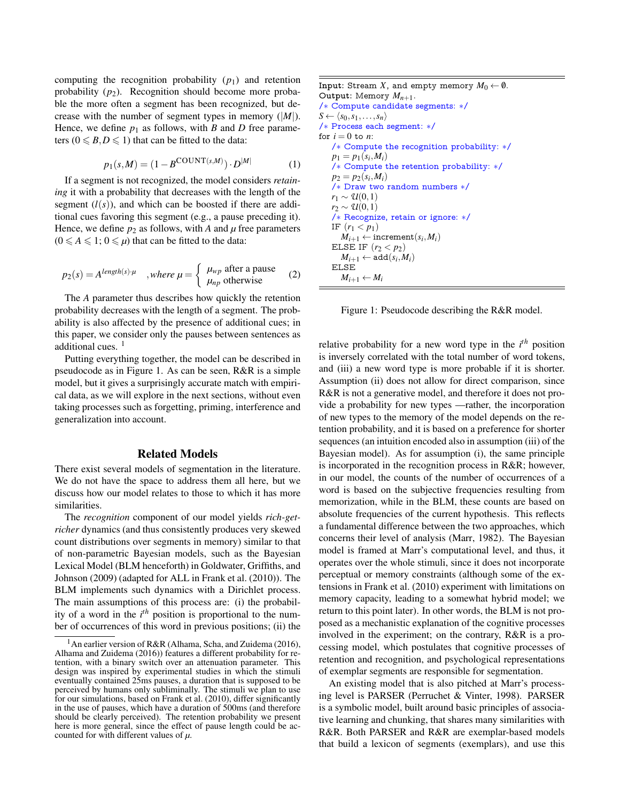computing the recognition probability  $(p_1)$  and retention probability  $(p_2)$ . Recognition should become more probable the more often a segment has been recognized, but decrease with the number of segment types in memory  $(|M|)$ . Hence, we define  $p_1$  as follows, with *B* and *D* free parameters ( $0 \le B, D \le 1$ ) that can be fitted to the data:

$$
p_1(s,M) = (1 - B^{\text{COUNT}(s,M)}) \cdot D^{|M|} \tag{1}
$$

If a segment is not recognized, the model considers *retaining* it with a probability that decreases with the length of the segment  $(l(s))$ , and which can be boosted if there are additional cues favoring this segment (e.g., a pause preceding it). Hence, we define  $p_2$  as follows, with *A* and  $\mu$  free parameters  $(0 \leq A \leq 1; 0 \leq \mu)$  that can be fitted to the data:

$$
p_2(s) = A^{length(s) \cdot \mu} \quad , where \ \mu = \begin{cases} \mu_{wp} \ \text{after a pause} \\ \mu_{np} \ \text{otherwise} \end{cases} \tag{2}
$$

The *A* parameter thus describes how quickly the retention probability decreases with the length of a segment. The probability is also affected by the presence of additional cues; in this paper, we consider only the pauses between sentences as additional cues.<sup>1</sup>

Putting everything together, the model can be described in pseudocode as in Figure 1. As can be seen, R&R is a simple model, but it gives a surprisingly accurate match with empirical data, as we will explore in the next sections, without even taking processes such as forgetting, priming, interference and generalization into account.

## Related Models

There exist several models of segmentation in the literature. We do not have the space to address them all here, but we discuss how our model relates to those to which it has more similarities.

The *recognition* component of our model yields *rich-getricher* dynamics (and thus consistently produces very skewed count distributions over segments in memory) similar to that of non-parametric Bayesian models, such as the Bayesian Lexical Model (BLM henceforth) in Goldwater, Griffiths, and Johnson (2009) (adapted for ALL in Frank et al. (2010)). The BLM implements such dynamics with a Dirichlet process. The main assumptions of this process are: (i) the probability of a word in the *i th* position is proportional to the number of occurrences of this word in previous positions; (ii) the

| Input: Stream $X$ , and empty memory $M_0 \leftarrow \emptyset.$ |
|------------------------------------------------------------------|
| Output: Memory $M_{n+1}$ .                                       |
| /* Compute candidate segments: */                                |
| $S \leftarrow \langle s_0, s_1, \ldots, s_n \rangle$             |
| /* Process each segment: */                                      |
| for $i=0$ to n:                                                  |
| /* Compute the recognition probability: */                       |
| $p_1 = p_1(s_i, M_i)$                                            |
| /* Compute the retention probability: */                         |
| $p_2 = p_2(s_i, M_i)$                                            |
| $/*$ Draw two random numbers $*/$                                |
| $r_1 \sim \mathcal{U}(0,1)$                                      |
| $r_2 \sim \mathcal{U}(0,1)$                                      |
| /* Recognize, retain or ignore: */                               |
| IF $(r_1 < p_1)$                                                 |
| $M_{i+1} \leftarrow$ increment $(s_i, M_i)$                      |
| ELSE IF $(r_2 < p_2)$                                            |
| $M_{i+1} \leftarrow \text{add}(s_i, M_i)$                        |
| ELSE                                                             |
| $M_{i+1} \leftarrow M_i$                                         |
|                                                                  |

Figure 1: Pseudocode describing the R&R model.

relative probability for a new word type in the *i th* position is inversely correlated with the total number of word tokens, and (iii) a new word type is more probable if it is shorter. Assumption (ii) does not allow for direct comparison, since R&R is not a generative model, and therefore it does not provide a probability for new types —rather, the incorporation of new types to the memory of the model depends on the retention probability, and it is based on a preference for shorter sequences (an intuition encoded also in assumption (iii) of the Bayesian model). As for assumption (i), the same principle is incorporated in the recognition process in R&R; however, in our model, the counts of the number of occurrences of a word is based on the subjective frequencies resulting from memorization, while in the BLM, these counts are based on absolute frequencies of the current hypothesis. This reflects a fundamental difference between the two approaches, which concerns their level of analysis (Marr, 1982). The Bayesian model is framed at Marr's computational level, and thus, it operates over the whole stimuli, since it does not incorporate perceptual or memory constraints (although some of the extensions in Frank et al. (2010) experiment with limitations on memory capacity, leading to a somewhat hybrid model; we return to this point later). In other words, the BLM is not proposed as a mechanistic explanation of the cognitive processes involved in the experiment; on the contrary, R&R is a processing model, which postulates that cognitive processes of retention and recognition, and psychological representations of exemplar segments are responsible for segmentation.

An existing model that is also pitched at Marr's processing level is PARSER (Perruchet & Vinter, 1998). PARSER is a symbolic model, built around basic principles of associative learning and chunking, that shares many similarities with R&R. Both PARSER and R&R are exemplar-based models that build a lexicon of segments (exemplars), and use this

<sup>&</sup>lt;sup>1</sup>An earlier version of R&R (Alhama, Scha, and Zuidema (2016), Alhama and Zuidema (2016)) features a different probability for retention, with a binary switch over an attenuation parameter. This design was inspired by experimental studies in which the stimuli eventually contained 25ms pauses, a duration that is supposed to be perceived by humans only subliminally. The stimuli we plan to use for our simulations, based on Frank et al. (2010), differ significantly in the use of pauses, which have a duration of 500ms (and therefore should be clearly perceived). The retention probability we present here is more general, since the effect of pause length could be accounted for with different values of  $\mu$ .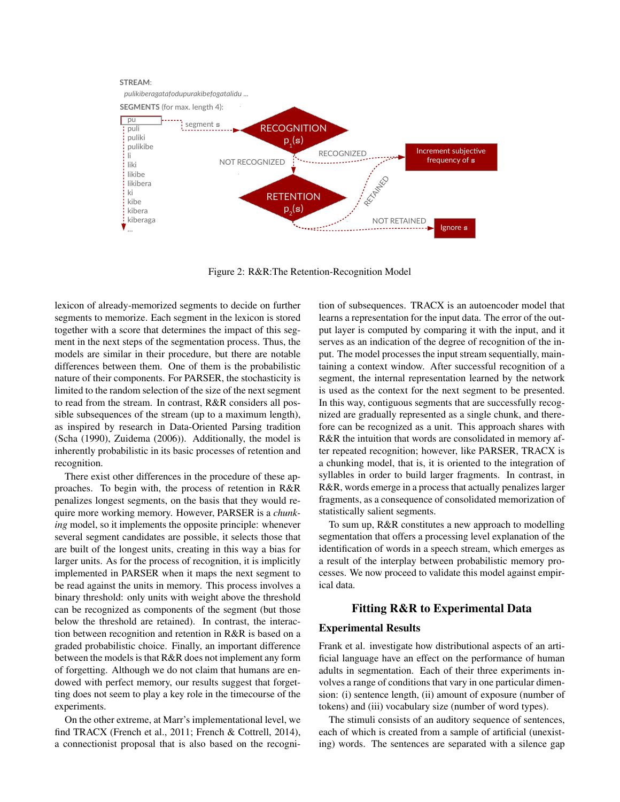

Figure 2: R&R:The Retention-Recognition Model

lexicon of already-memorized segments to decide on further segments to memorize. Each segment in the lexicon is stored together with a score that determines the impact of this segment in the next steps of the segmentation process. Thus, the models are similar in their procedure, but there are notable differences between them. One of them is the probabilistic nature of their components. For PARSER, the stochasticity is limited to the random selection of the size of the next segment to read from the stream. In contrast, R&R considers all possible subsequences of the stream (up to a maximum length), as inspired by research in Data-Oriented Parsing tradition (Scha (1990), Zuidema (2006)). Additionally, the model is inherently probabilistic in its basic processes of retention and recognition.

There exist other differences in the procedure of these approaches. To begin with, the process of retention in R&R penalizes longest segments, on the basis that they would require more working memory. However, PARSER is a *chunking* model, so it implements the opposite principle: whenever several segment candidates are possible, it selects those that are built of the longest units, creating in this way a bias for larger units. As for the process of recognition, it is implicitly implemented in PARSER when it maps the next segment to be read against the units in memory. This process involves a binary threshold: only units with weight above the threshold can be recognized as components of the segment (but those below the threshold are retained). In contrast, the interaction between recognition and retention in R&R is based on a graded probabilistic choice. Finally, an important difference between the models is that R&R does not implement any form of forgetting. Although we do not claim that humans are endowed with perfect memory, our results suggest that forgetting does not seem to play a key role in the timecourse of the experiments.

On the other extreme, at Marr's implementational level, we find TRACX (French et al., 2011; French & Cottrell, 2014), a connectionist proposal that is also based on the recognition of subsequences. TRACX is an autoencoder model that learns a representation for the input data. The error of the output layer is computed by comparing it with the input, and it serves as an indication of the degree of recognition of the input. The model processes the input stream sequentially, maintaining a context window. After successful recognition of a segment, the internal representation learned by the network is used as the context for the next segment to be presented. In this way, contiguous segments that are successfully recognized are gradually represented as a single chunk, and therefore can be recognized as a unit. This approach shares with R&R the intuition that words are consolidated in memory after repeated recognition; however, like PARSER, TRACX is a chunking model, that is, it is oriented to the integration of syllables in order to build larger fragments. In contrast, in R&R, words emerge in a process that actually penalizes larger fragments, as a consequence of consolidated memorization of statistically salient segments.

To sum up, R&R constitutes a new approach to modelling segmentation that offers a processing level explanation of the identification of words in a speech stream, which emerges as a result of the interplay between probabilistic memory processes. We now proceed to validate this model against empirical data.

## Fitting R&R to Experimental Data

#### Experimental Results

Frank et al. investigate how distributional aspects of an artificial language have an effect on the performance of human adults in segmentation. Each of their three experiments involves a range of conditions that vary in one particular dimension: (i) sentence length, (ii) amount of exposure (number of tokens) and (iii) vocabulary size (number of word types).

The stimuli consists of an auditory sequence of sentences, each of which is created from a sample of artificial (unexisting) words. The sentences are separated with a silence gap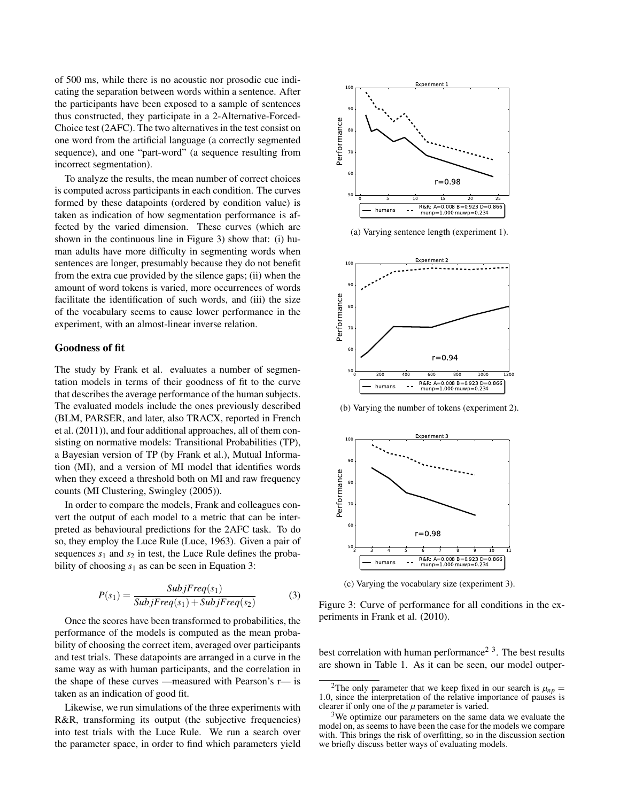of 500 ms, while there is no acoustic nor prosodic cue indicating the separation between words within a sentence. After the participants have been exposed to a sample of sentences thus constructed, they participate in a 2-Alternative-Forced-Choice test (2AFC). The two alternatives in the test consist on one word from the artificial language (a correctly segmented sequence), and one "part-word" (a sequence resulting from incorrect segmentation).

To analyze the results, the mean number of correct choices is computed across participants in each condition. The curves formed by these datapoints (ordered by condition value) is taken as indication of how segmentation performance is affected by the varied dimension. These curves (which are shown in the continuous line in Figure 3) show that: (i) human adults have more difficulty in segmenting words when sentences are longer, presumably because they do not benefit from the extra cue provided by the silence gaps; (ii) when the amount of word tokens is varied, more occurrences of words facilitate the identification of such words, and (iii) the size of the vocabulary seems to cause lower performance in the experiment, with an almost-linear inverse relation.

## Goodness of fit

The study by Frank et al. evaluates a number of segmentation models in terms of their goodness of fit to the curve that describes the average performance of the human subjects. The evaluated models include the ones previously described (BLM, PARSER, and later, also TRACX, reported in French et al. (2011)), and four additional approaches, all of them consisting on normative models: Transitional Probabilities (TP), a Bayesian version of TP (by Frank et al.), Mutual Information (MI), and a version of MI model that identifies words when they exceed a threshold both on MI and raw frequency counts (MI Clustering, Swingley (2005)).

In order to compare the models, Frank and colleagues convert the output of each model to a metric that can be interpreted as behavioural predictions for the 2AFC task. To do so, they employ the Luce Rule (Luce, 1963). Given a pair of sequences  $s_1$  and  $s_2$  in test, the Luce Rule defines the probability of choosing  $s_1$  as can be seen in Equation 3:

$$
P(s_1) = \frac{Subject_{s_1}}{Subject_{s_2}(s_1) + Sub_{f}Freq(s_2)}
$$
(3)

Once the scores have been transformed to probabilities, the performance of the models is computed as the mean probability of choosing the correct item, averaged over participants and test trials. These datapoints are arranged in a curve in the same way as with human participants, and the correlation in the shape of these curves —measured with Pearson's r— is taken as an indication of good fit.

Likewise, we run simulations of the three experiments with R&R, transforming its output (the subjective frequencies) into test trials with the Luce Rule. We run a search over the parameter space, in order to find which parameters yield



(a) Varying sentence length (experiment 1).



(b) Varying the number of tokens (experiment 2).



(c) Varying the vocabulary size (experiment 3).

Figure 3: Curve of performance for all conditions in the experiments in Frank et al. (2010).

best correlation with human performance<sup>2 3</sup>. The best results are shown in Table 1. As it can be seen, our model outper-

<sup>&</sup>lt;sup>2</sup>The only parameter that we keep fixed in our search is  $\mu_{np} =$ 1.0, since the interpretation of the relative importance of pauses is clearer if only one of the  $\mu$  parameter is varied.

<sup>&</sup>lt;sup>3</sup>We optimize our parameters on the same data we evaluate the model on, as seems to have been the case for the models we compare with. This brings the risk of overfitting, so in the discussion section we briefly discuss better ways of evaluating models.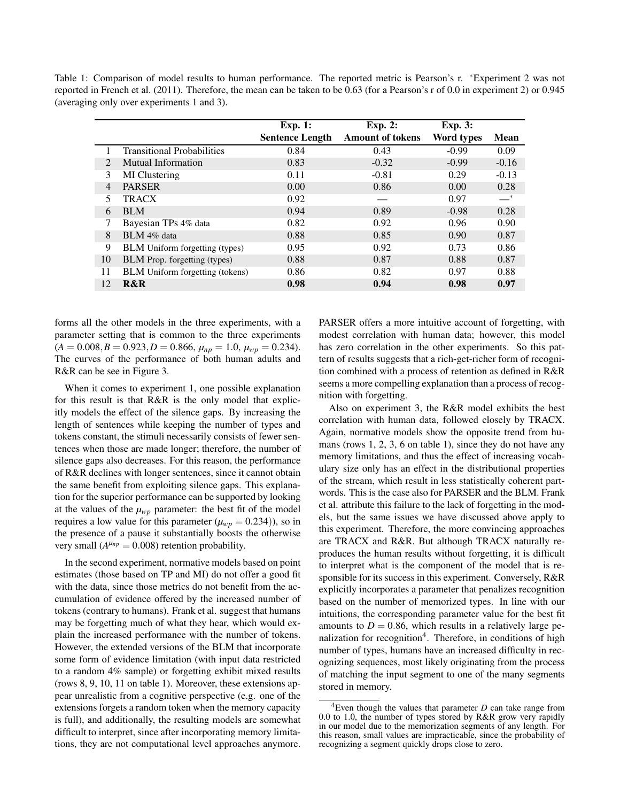Table 1: Comparison of model results to human performance. The reported metric is Pearson's r. <sup>∗</sup>Experiment 2 was not reported in French et al. (2011). Therefore, the mean can be taken to be 0.63 (for a Pearson's r of 0.0 in experiment 2) or 0.945 (averaging only over experiments 1 and 3).

|                |                                        | Exp. 1:                | <b>Exp. 2:</b>          | <b>Exp. 3:</b> |             |
|----------------|----------------------------------------|------------------------|-------------------------|----------------|-------------|
|                |                                        | <b>Sentence Length</b> | <b>Amount of tokens</b> | Word types     | <b>Mean</b> |
|                | <b>Transitional Probabilities</b>      | 0.84                   | 0.43                    | $-0.99$        | 0.09        |
| $\mathcal{L}$  | Mutual Information                     | 0.83                   | $-0.32$                 | $-0.99$        | $-0.16$     |
| 3              | MI Clustering                          | 0.11                   | $-0.81$                 | 0.29           | $-0.13$     |
| $\overline{4}$ | <b>PARSER</b>                          | 0.00                   | 0.86                    | 0.00           | 0.28        |
| 5              | <b>TRACX</b>                           | 0.92                   |                         | 0.97           | $-^*$       |
| 6              | <b>BLM</b>                             | 0.94                   | 0.89                    | $-0.98$        | 0.28        |
|                | Bayesian TPs 4% data                   | 0.82                   | 0.92                    | 0.96           | 0.90        |
| 8              | BLM 4% data                            | 0.88                   | 0.85                    | 0.90           | 0.87        |
| 9              | <b>BLM</b> Uniform forgetting (types)  | 0.95                   | 0.92                    | 0.73           | 0.86        |
| 10             | <b>BLM</b> Prop. forgetting (types)    | 0.88                   | 0.87                    | 0.88           | 0.87        |
| 11             | <b>BLM</b> Uniform forgetting (tokens) | 0.86                   | 0.82                    | 0.97           | 0.88        |
| 12             | R&R                                    | 0.98                   | 0.94                    | 0.98           | 0.97        |

forms all the other models in the three experiments, with a parameter setting that is common to the three experiments  $(A = 0.008, B = 0.923, D = 0.866, \mu_{np} = 1.0, \mu_{wp} = 0.234).$ The curves of the performance of both human adults and R&R can be see in Figure 3.

When it comes to experiment 1, one possible explanation for this result is that R&R is the only model that explicitly models the effect of the silence gaps. By increasing the length of sentences while keeping the number of types and tokens constant, the stimuli necessarily consists of fewer sentences when those are made longer; therefore, the number of silence gaps also decreases. For this reason, the performance of R&R declines with longer sentences, since it cannot obtain the same benefit from exploiting silence gaps. This explanation for the superior performance can be supported by looking at the values of the  $\mu_{WD}$  parameter: the best fit of the model requires a low value for this parameter  $(\mu_{wp} = 0.234)$ ), so in the presence of a pause it substantially boosts the otherwise very small  $(A^{\mu_{np}} = 0.008)$  retention probability.

In the second experiment, normative models based on point estimates (those based on TP and MI) do not offer a good fit with the data, since those metrics do not benefit from the accumulation of evidence offered by the increased number of tokens (contrary to humans). Frank et al. suggest that humans may be forgetting much of what they hear, which would explain the increased performance with the number of tokens. However, the extended versions of the BLM that incorporate some form of evidence limitation (with input data restricted to a random 4% sample) or forgetting exhibit mixed results (rows 8, 9, 10, 11 on table 1). Moreover, these extensions appear unrealistic from a cognitive perspective (e.g. one of the extensions forgets a random token when the memory capacity is full), and additionally, the resulting models are somewhat difficult to interpret, since after incorporating memory limitations, they are not computational level approaches anymore. PARSER offers a more intuitive account of forgetting, with modest correlation with human data; however, this model has zero correlation in the other experiments. So this pattern of results suggests that a rich-get-richer form of recognition combined with a process of retention as defined in R&R seems a more compelling explanation than a process of recognition with forgetting.

Also on experiment 3, the R&R model exhibits the best correlation with human data, followed closely by TRACX. Again, normative models show the opposite trend from humans (rows 1, 2, 3, 6 on table 1), since they do not have any memory limitations, and thus the effect of increasing vocabulary size only has an effect in the distributional properties of the stream, which result in less statistically coherent partwords. This is the case also for PARSER and the BLM. Frank et al. attribute this failure to the lack of forgetting in the models, but the same issues we have discussed above apply to this experiment. Therefore, the more convincing approaches are TRACX and R&R. But although TRACX naturally reproduces the human results without forgetting, it is difficult to interpret what is the component of the model that is responsible for its success in this experiment. Conversely, R&R explicitly incorporates a parameter that penalizes recognition based on the number of memorized types. In line with our intuitions, the corresponding parameter value for the best fit amounts to  $D = 0.86$ , which results in a relatively large penalization for recognition<sup>4</sup>. Therefore, in conditions of high number of types, humans have an increased difficulty in recognizing sequences, most likely originating from the process of matching the input segment to one of the many segments stored in memory.

<sup>4</sup>Even though the values that parameter *D* can take range from 0.0 to 1.0, the number of types stored by R&R grow very rapidly in our model due to the memorization segments of any length. For this reason, small values are impracticable, since the probability of recognizing a segment quickly drops close to zero.